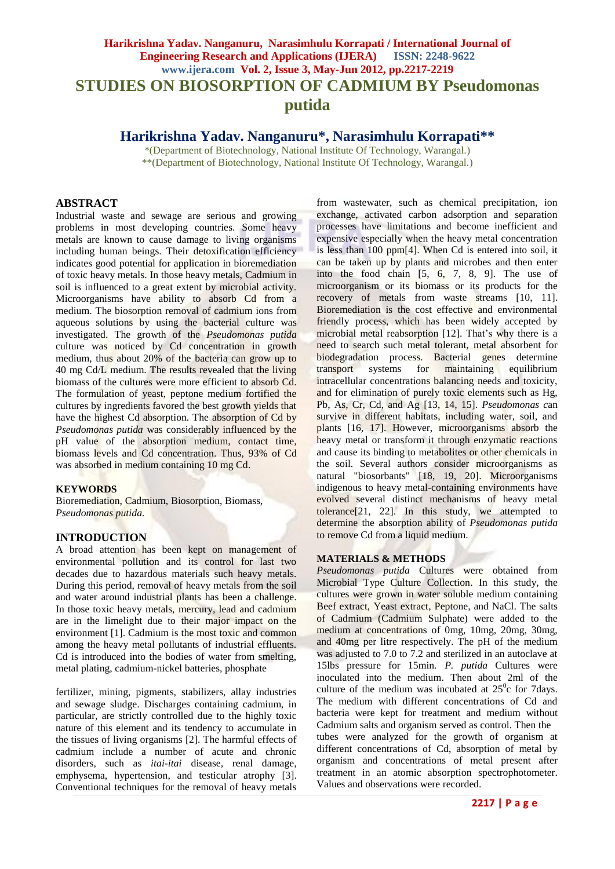# **Harikrishna Yadav. Nanganuru, Narasimhulu Korrapati / International Journal of Engineering Research and Applications (IJERA) ISSN: 2248-9622 www.ijera.com Vol. 2, Issue 3, May-Jun 2012, pp.2217-2219 STUDIES ON BIOSORPTION OF CADMIUM BY Pseudomonas putida**

# **Harikrishna Yadav. Nanganuru\*, Narasimhulu Korrapati\*\***

\*(Department of Biotechnology, National Institute Of Technology, Warangal.) \*\*(Department of Biotechnology, National Institute Of Technology, Warangal.)

#### **ABSTRACT**

Industrial waste and sewage are serious and growing problems in most developing countries. Some heavy metals are known to cause damage to living organisms including human beings. Their detoxification efficiency indicates good potential for application in bioremediation of toxic heavy metals. In those heavy metals, Cadmium in soil is influenced to a great extent by microbial activity. Microorganisms have ability to absorb Cd from a medium. The biosorption removal of cadmium ions from aqueous solutions by using the bacterial culture was investigated. The growth of the *Pseudomonas putida* culture was noticed by Cd concentration in growth medium, thus about 20% of the bacteria can grow up to 40 mg Cd/L medium. The results revealed that the living biomass of the cultures were more efficient to absorb Cd. The formulation of yeast, peptone medium fortified the cultures by ingredients favored the best growth yields that have the highest Cd absorption. The absorption of Cd by *Pseudomonas putida* was considerably influenced by the pH value of the absorption medium, contact time, biomass levels and Cd concentration. Thus, 93% of Cd was absorbed in medium containing 10 mg Cd.

# **KEYWORDS**

Bioremediation, Cadmium, Biosorption, Biomass, *Pseudomonas putida.*

# **INTRODUCTION**

A broad attention has been kept on management of environmental pollution and its control for last two decades due to hazardous materials such heavy metals. During this period, removal of heavy metals from the soil and water around industrial plants has been a challenge. In those toxic heavy metals, mercury, lead and cadmium are in the limelight due to their major impact on the environment [1]. Cadmium is the most toxic and common among the heavy metal pollutants of industrial effluents. Cd is introduced into the bodies of water from smelting, metal plating, cadmium-nickel batteries, phosphate

fertilizer, mining, pigments, stabilizers, allay industries and sewage sludge. Discharges containing cadmium, in particular, are strictly controlled due to the highly toxic nature of this element and its tendency to accumulate in the tissues of living organisms [2]. The harmful effects of cadmium include a number of acute and chronic disorders, such as *itai-itai* disease, renal damage, emphysema, hypertension, and testicular atrophy [3]. Conventional techniques for the removal of heavy metals

from wastewater, such as chemical precipitation, ion exchange, activated carbon adsorption and separation processes have limitations and become inefficient and expensive especially when the heavy metal concentration is less than 100 ppm[4]. When Cd is entered into soil, it can be taken up by plants and microbes and then enter into the food chain [5, 6, 7, 8, 9]. The use of microorganism or its biomass or its products for the recovery of metals from waste streams [10, 11]. Bioremediation is the cost effective and environmental friendly process, which has been widely accepted by microbial metal reabsorption [12]. That's why there is a need to search such metal tolerant, metal absorbent for biodegradation process. Bacterial genes determine transport systems for maintaining equilibrium intracellular concentrations balancing needs and toxicity, and for elimination of purely toxic elements such as Hg, Pb, As, Cr, Cd, and Ag [13, 14, 15]. *Pseudomonas c*an survive in different habitats, including water, soil, and plants [16, 17]. However, microorganisms absorb the heavy metal or transform it through enzymatic reactions and cause its binding to metabolites or other chemicals in the soil. Several authors consider microorganisms as natural "biosorbants" [18, 19, 20]. Microorganisms indigenous to heavy metal-containing environments have evolved several distinct mechanisms of heavy metal tolerance[21, 22]. In this study, we attempted to determine the absorption ability of *Pseudomonas putida* to remove Cd from a liquid medium.

#### **MATERIALS & METHODS**

*Pseudomonas putida* Cultures were obtained from Microbial Type Culture Collection. In this study, the cultures were grown in water soluble medium containing Beef extract, Yeast extract, Peptone, and NaCl. The salts of Cadmium (Cadmium Sulphate) were added to the medium at concentrations of 0mg, 10mg, 20mg, 30mg, and 40mg per litre respectively. The pH of the medium was adjusted to 7.0 to 7.2 and sterilized in an autoclave at 15lbs pressure for 15min. *P. putida* Cultures were inoculated into the medium. Then about 2ml of the culture of the medium was incubated at  $25^\circ$ c for 7days. The medium with different concentrations of Cd and bacteria were kept for treatment and medium without Cadmium salts and organism served as control. Then the tubes were analyzed for the growth of organism at different concentrations of Cd, absorption of metal by organism and concentrations of metal present after treatment in an atomic absorption spectrophotometer. Values and observations were recorded.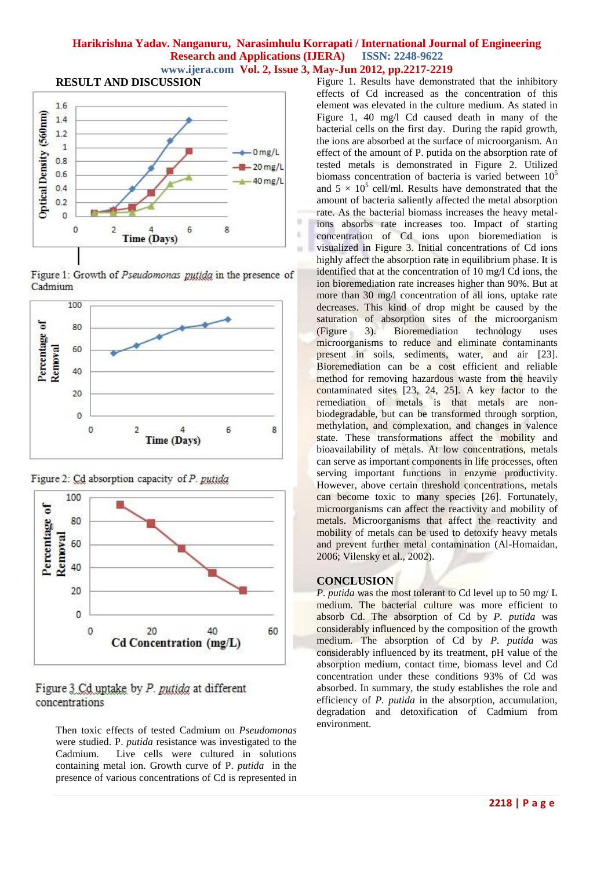#### **Harikrishna Yadav. Nanganuru, Narasimhulu Korrapati / International Journal of Engineering Research and Applications (IJERA) ISSN: 2248-9622 www.ijera.com Vol. 2, Issue 3, May-Jun 2012, pp.2217-2219**

**RESULT AND DISCUSSION**



Figure 1: Growth of Pseudomonas putida in the presence of Cadmium



Figure 2: Cd absorption capacity of P. putida



Figure 3 Cd uptake by P. putida at different concentrations

Then toxic effects of tested Cadmium on *Pseudomonas*  were studied. P. *putida* resistance was investigated to the Cadmium. Live cells were cultured in solutions containing metal ion. Growth curve of P. *putida* in the presence of various concentrations of Cd is represented in

Figure 1. Results have demonstrated that the inhibitory effects of Cd increased as the concentration of this element was elevated in the culture medium. As stated in Figure 1, 40 mg/l Cd caused death in many of the bacterial cells on the first day. During the rapid growth, the ions are absorbed at the surface of microorganism. An effect of the amount of P. putida on the absorption rate of tested metals is demonstrated in Figure 2. Utilized biomass concentration of bacteria is varied between  $10<sup>5</sup>$ and  $5 \times 10^5$  cell/ml. Results have demonstrated that the amount of bacteria saliently affected the metal absorption rate. As the bacterial biomass increases the heavy metalions absorbs rate increases too. Impact of starting concentration of Cd ions upon bioremediation is visualized in Figure 3. Initial concentrations of Cd ions highly affect the absorption rate in equilibrium phase. It is identified that at the concentration of 10 mg/l Cd ions, the ion bioremediation rate increases higher than 90%. But at more than 30 mg/l concentration of all ions, uptake rate decreases. This kind of drop might be caused by the saturation of absorption sites of the microorganism<br>(Figure 3). Bioremediation technology uses 3). Bioremediation technology uses microorganisms to reduce and eliminate contaminants present in soils, sediments, water, and air [23]. Bioremediation can be a cost efficient and reliable method for removing hazardous waste from the heavily contaminated sites [23, 24, 25]. A key factor to the remediation of metals is that metals are nonbiodegradable, but can be transformed through sorption, methylation, and complexation, and changes in valence state. These transformations affect the mobility and bioavailability of metals. At low concentrations, metals can serve as important components in life processes, often serving important functions in enzyme productivity. However, above certain threshold concentrations, metals can become toxic to many species [26]. Fortunately, microorganisms can affect the reactivity and mobility of metals. Microorganisms that affect the reactivity and mobility of metals can be used to detoxify heavy metals and prevent further metal contamination (Al-Homaidan, 2006; Vilensky et al., 2002).

# **CONCLUSION**

*P. putida* was the most tolerant to Cd level up to 50 mg/ L medium. The bacterial culture was more efficient to absorb Cd. The absorption of Cd by *P. putida* was considerably influenced by the composition of the growth medium. The absorption of Cd by *P. putida* was considerably influenced by its treatment, pH value of the absorption medium, contact time, biomass level and Cd concentration under these conditions 93% of Cd was absorbed. In summary, the study establishes the role and efficiency of *P. putida* in the absorption, accumulation, degradation and detoxification of Cadmium from environment.